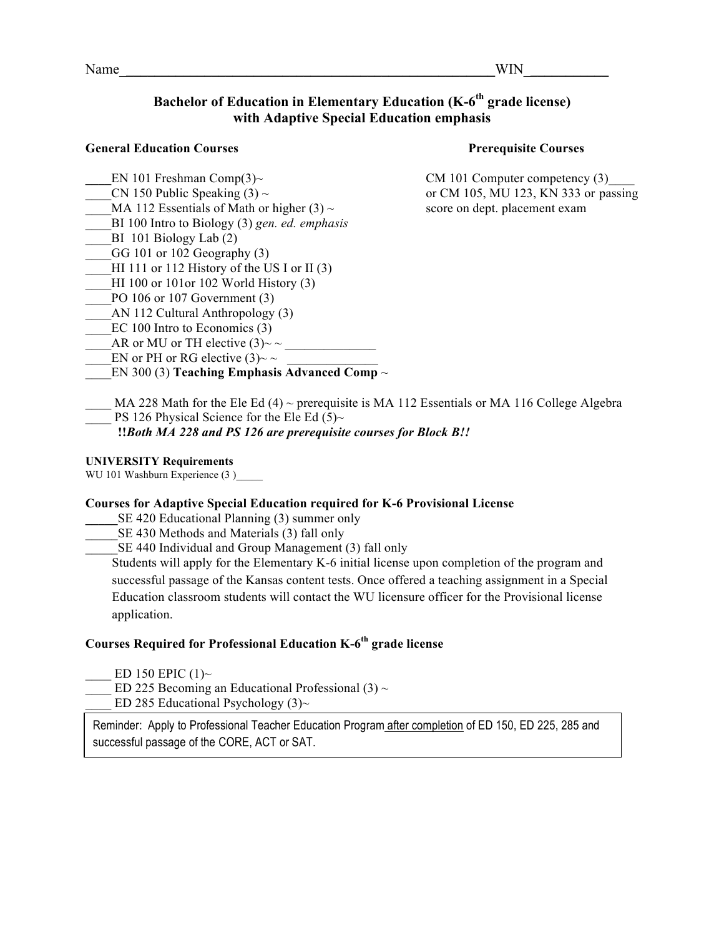Name WIN

### **Bachelor of Education in Elementary Education (K-6<sup>th</sup> grade license) with Adaptive Special Education emphasis**

#### **General Education Courses Prerequisite Courses**

- 
- 
- MA 112 Essentials of Math or higher  $(3)$  ~ score on dept. placement exam
- \_\_\_\_BI 100 Intro to Biology (3) *gen. ed. emphasis*
- $BI$  101 Biology Lab  $(2)$
- GG 101 or 102 Geography  $(3)$
- HI 111 or 112 History of the US I or II  $(3)$
- HI 100 or 101or 102 World History  $(3)$
- PO 106 or 107 Government (3)
- AN 112 Cultural Anthropology (3)
- EC 100 Intro to Economics (3)
- AR or MU or TH elective  $(3)$ ~ ~
- EN or PH or RG elective (3)~ ~
- \_\_\_\_EN 300 (3) **Teaching Emphasis Advanced Comp** *~*

EN 101 Freshman Comp(3)~ CM 101 Computer competency (3)  $CN$  150 Public Speaking (3) ~ or CM 105, MU 123, KN 333 or passing

MA 228 Math for the Ele Ed (4) ~ prerequisite is MA 112 Essentials or MA 116 College Algebra PS 126 Physical Science for the Ele Ed  $(5)~$ 

 **!!***Both MA 228 and PS 126 are prerequisite courses for Block B!!*

#### **UNIVERSITY Requirements**

WU 101 Washburn Experience (3)

#### **Courses for Adaptive Special Education required for K-6 Provisional License**

- SE 420 Educational Planning (3) summer only
- SE 430 Methods and Materials (3) fall only
- SE 440 Individual and Group Management (3) fall only

Students will apply for the Elementary K-6 initial license upon completion of the program and successful passage of the Kansas content tests. Once offered a teaching assignment in a Special Education classroom students will contact the WU licensure officer for the Provisional license application.

## **Courses Required for Professional Education K-6th grade license**

- ED 150 EPIC  $(1)$ ~
- ED 225 Becoming an Educational Professional (3)  $\sim$
- ED 285 Educational Psychology  $(3)$ ~

Reminder: Apply to Professional Teacher Education Program after completion of ED 150, ED 225, 285 and successful passage of the CORE, ACT or SAT.